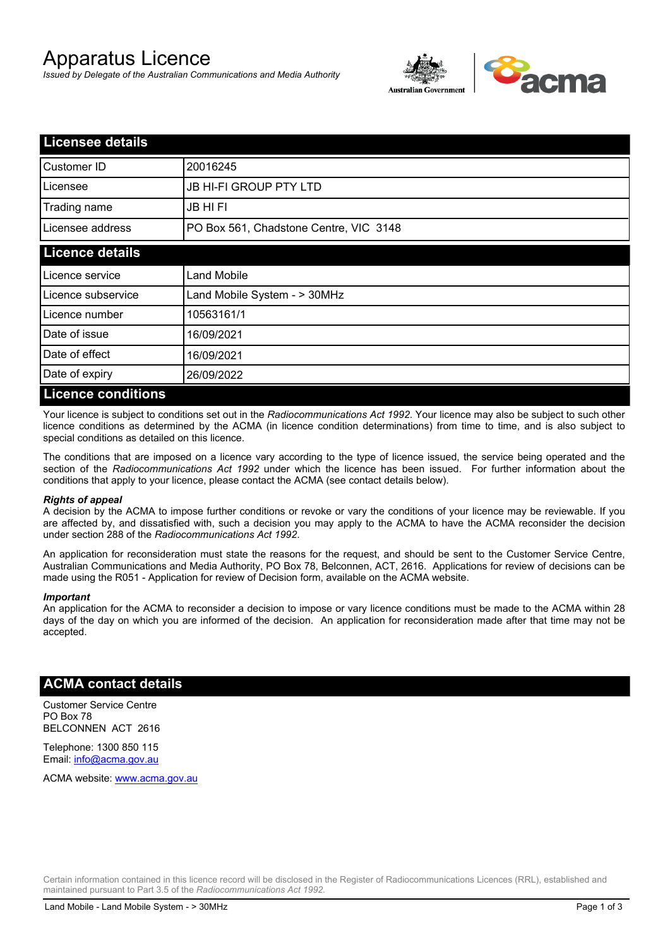# Apparatus Licence

*Issued by Delegate of the Australian Communications and Media Authority*



| <b>Licensee details</b>   |                                        |  |
|---------------------------|----------------------------------------|--|
| Customer ID               | 20016245                               |  |
| Licensee                  | <b>JB HI-FI GROUP PTY LTD</b>          |  |
| Trading name              | JB HI FI                               |  |
| Licensee address          | PO Box 561, Chadstone Centre, VIC 3148 |  |
| <b>Licence details</b>    |                                        |  |
| Licence service           | Land Mobile                            |  |
| Licence subservice        | Land Mobile System - > 30MHz           |  |
| Licence number            | 10563161/1                             |  |
| Date of issue             | 16/09/2021                             |  |
| Date of effect            | 16/09/2021                             |  |
| Date of expiry            | 26/09/2022                             |  |
| <b>Licence conditions</b> |                                        |  |

Your licence is subject to conditions set out in the *Radiocommunications Act 1992*. Your licence may also be subject to such other licence conditions as determined by the ACMA (in licence condition determinations) from time to time, and is also subject to special conditions as detailed on this licence.

The conditions that are imposed on a licence vary according to the type of licence issued, the service being operated and the section of the *Radiocommunications Act 1992* under which the licence has been issued. For further information about the conditions that apply to your licence, please contact the ACMA (see contact details below).

#### *Rights of appeal*

A decision by the ACMA to impose further conditions or revoke or vary the conditions of your licence may be reviewable. If you are affected by, and dissatisfied with, such a decision you may apply to the ACMA to have the ACMA reconsider the decision under section 288 of the *Radiocommunications Act 1992*.

An application for reconsideration must state the reasons for the request, and should be sent to the Customer Service Centre, Australian Communications and Media Authority, PO Box 78, Belconnen, ACT, 2616. Applications for review of decisions can be made using the R051 - Application for review of Decision form, available on the ACMA website.

#### *Important*

An application for the ACMA to reconsider a decision to impose or vary licence conditions must be made to the ACMA within 28 days of the day on which you are informed of the decision. An application for reconsideration made after that time may not be accepted.

### **ACMA contact details**

Customer Service Centre PO Box 78 BELCONNEN ACT 2616

Telephone: 1300 850 115 Email: info@acma.gov.au

ACMA website: www.acma.gov.au

Certain information contained in this licence record will be disclosed in the Register of Radiocommunications Licences (RRL), established and maintained pursuant to Part 3.5 of the *Radiocommunications Act 1992.*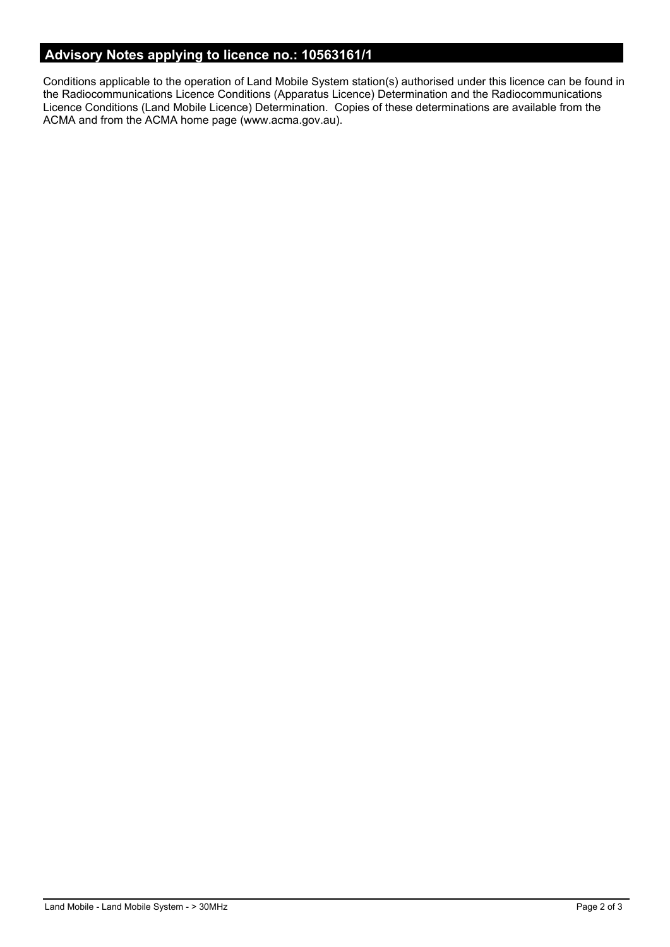# **Advisory Notes applying to licence no.: 10563161/1**

Conditions applicable to the operation of Land Mobile System station(s) authorised under this licence can be found in the Radiocommunications Licence Conditions (Apparatus Licence) Determination and the Radiocommunications Licence Conditions (Land Mobile Licence) Determination. Copies of these determinations are available from the ACMA and from the ACMA home page (www.acma.gov.au).